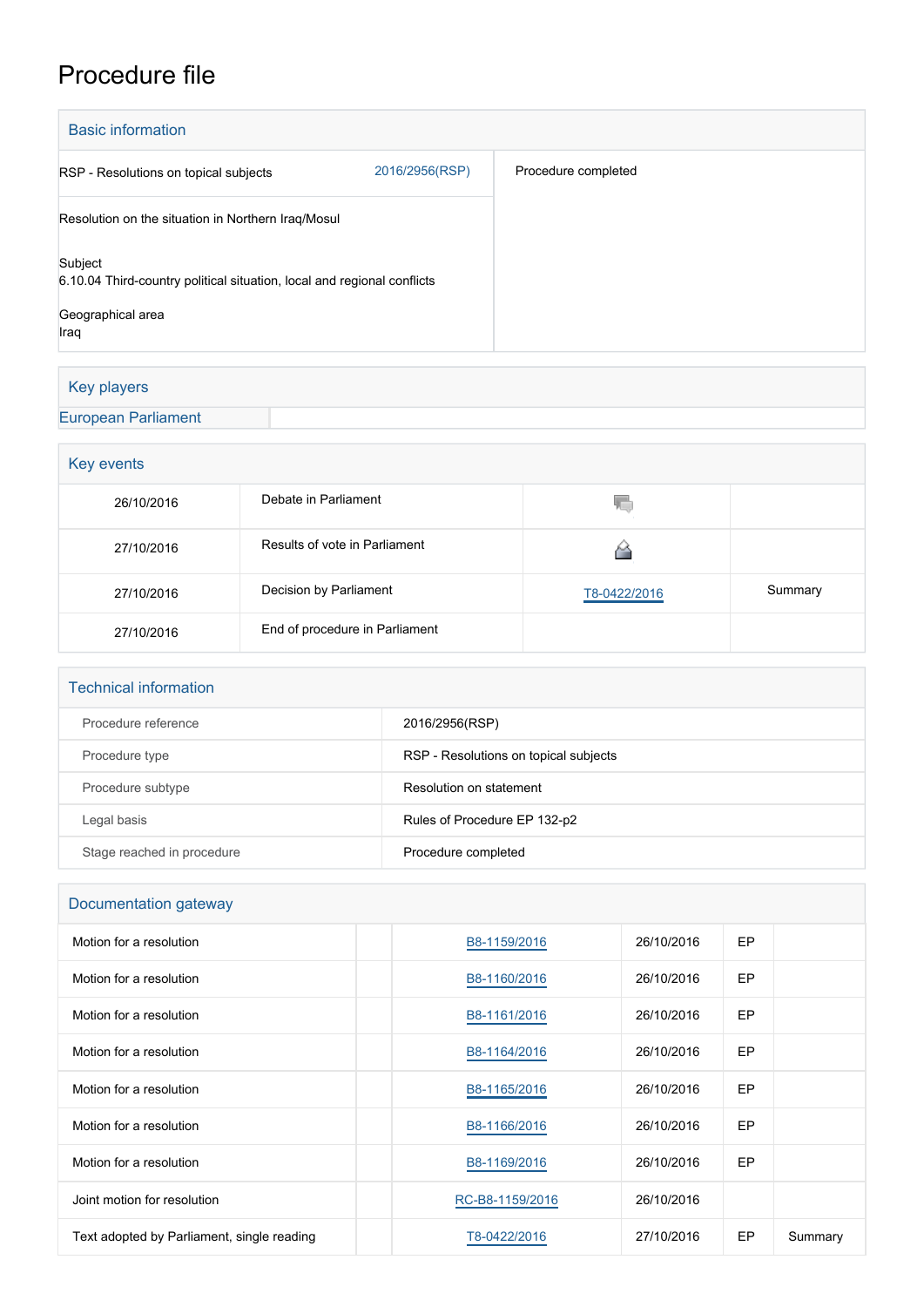## Procedure file

| <b>Basic information</b>                                                                                        |                |                     |
|-----------------------------------------------------------------------------------------------------------------|----------------|---------------------|
| RSP - Resolutions on topical subjects                                                                           | 2016/2956(RSP) | Procedure completed |
| Resolution on the situation in Northern Iraq/Mosul                                                              |                |                     |
| Subject<br>6.10.04 Third-country political situation, local and regional conflicts<br>Geographical area<br>Iraq |                |                     |

## Key players

## [European Parliament](http://www.europarl.europa.eu/)

| Key events |                                |              |         |  |  |
|------------|--------------------------------|--------------|---------|--|--|
| 26/10/2016 | Debate in Parliament           | YΟ           |         |  |  |
| 27/10/2016 | Results of vote in Parliament  |              |         |  |  |
| 27/10/2016 | Decision by Parliament         | T8-0422/2016 | Summary |  |  |
| 27/10/2016 | End of procedure in Parliament |              |         |  |  |

| <b>Technical information</b> |                                       |  |  |  |
|------------------------------|---------------------------------------|--|--|--|
| Procedure reference          | 2016/2956(RSP)                        |  |  |  |
| Procedure type               | RSP - Resolutions on topical subjects |  |  |  |
| Procedure subtype            | Resolution on statement               |  |  |  |
| Legal basis                  | Rules of Procedure EP 132-p2          |  |  |  |
| Stage reached in procedure   | Procedure completed                   |  |  |  |

| Documentation gateway                      |                 |            |           |         |  |  |
|--------------------------------------------|-----------------|------------|-----------|---------|--|--|
| Motion for a resolution                    | B8-1159/2016    | 26/10/2016 | <b>EP</b> |         |  |  |
| Motion for a resolution                    | B8-1160/2016    | 26/10/2016 | EP        |         |  |  |
| Motion for a resolution                    | B8-1161/2016    | 26/10/2016 | <b>EP</b> |         |  |  |
| Motion for a resolution                    | B8-1164/2016    | 26/10/2016 | <b>EP</b> |         |  |  |
| Motion for a resolution                    | B8-1165/2016    | 26/10/2016 | EP        |         |  |  |
| Motion for a resolution                    | B8-1166/2016    | 26/10/2016 | EP        |         |  |  |
| Motion for a resolution                    | B8-1169/2016    | 26/10/2016 | EP        |         |  |  |
| Joint motion for resolution                | RC-B8-1159/2016 | 26/10/2016 |           |         |  |  |
| Text adopted by Parliament, single reading | T8-0422/2016    | 27/10/2016 | EP        | Summary |  |  |